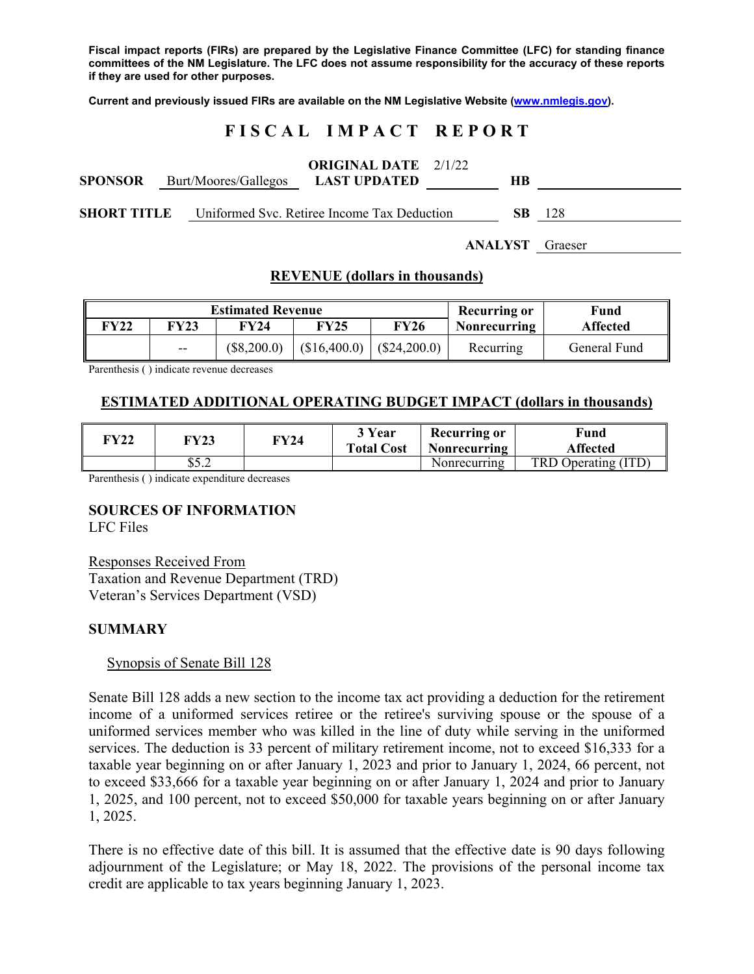**Fiscal impact reports (FIRs) are prepared by the Legislative Finance Committee (LFC) for standing finance committees of the NM Legislature. The LFC does not assume responsibility for the accuracy of these reports if they are used for other purposes.** 

**Current and previously issued FIRs are available on the NM Legislative Website (www.nmlegis.gov).** 

# **F I S C A L I M P A C T R E P O R T**

| <b>ORIGINAL DATE</b> | 2/1/22 |
|----------------------|--------|
|----------------------|--------|

| <b>SPONSOR</b>     |  | Burt/Moores/Gallegos LAST UPDATED           |  |  |
|--------------------|--|---------------------------------------------|--|--|
| <b>SHORT TITLE</b> |  | Uniformed Svc. Retiree Income Tax Deduction |  |  |

**ANALYST** Graeser

# **REVENUE (dollars in thousands)**

| <b>Estimated Revenue</b> |       |               |                            | <b>Recurring or</b> | Fund                |                 |
|--------------------------|-------|---------------|----------------------------|---------------------|---------------------|-----------------|
| <b>FY22</b>              | FY23  | FY24          | <b>FY25</b>                | <b>FY26</b>         | <b>Nonrecurring</b> | <b>Affected</b> |
|                          | $- -$ | $(\$8,200.0)$ | $($16,400.0)$ (\$24,200.0) |                     | Recurring           | General Fund    |

Parenthesis ( ) indicate revenue decreases

# **ESTIMATED ADDITIONAL OPERATING BUDGET IMPACT (dollars in thousands)**

| FY22 | FY23                           | FY24 | 3 Year<br><b>Total Cost</b> | <b>Recurring or</b><br>Nonrecurring | Fund<br><b>Affected</b> |
|------|--------------------------------|------|-----------------------------|-------------------------------------|-------------------------|
|      | $\sigma$ $\tau$ $\sim$<br>ے …ت |      |                             | Nonrecurring                        | TRD Operating (ITD)     |

Parenthesis ( ) indicate expenditure decreases

# **SOURCES OF INFORMATION**

LFC Files

Responses Received From Taxation and Revenue Department (TRD) Veteran's Services Department (VSD)

# **SUMMARY**

# Synopsis of Senate Bill 128

Senate Bill 128 adds a new section to the income tax act providing a deduction for the retirement income of a uniformed services retiree or the retiree's surviving spouse or the spouse of a uniformed services member who was killed in the line of duty while serving in the uniformed services. The deduction is 33 percent of military retirement income, not to exceed \$16,333 for a taxable year beginning on or after January 1, 2023 and prior to January 1, 2024, 66 percent, not to exceed \$33,666 for a taxable year beginning on or after January 1, 2024 and prior to January 1, 2025, and 100 percent, not to exceed \$50,000 for taxable years beginning on or after January 1, 2025.

There is no effective date of this bill. It is assumed that the effective date is 90 days following adjournment of the Legislature; or May 18, 2022. The provisions of the personal income tax credit are applicable to tax years beginning January 1, 2023.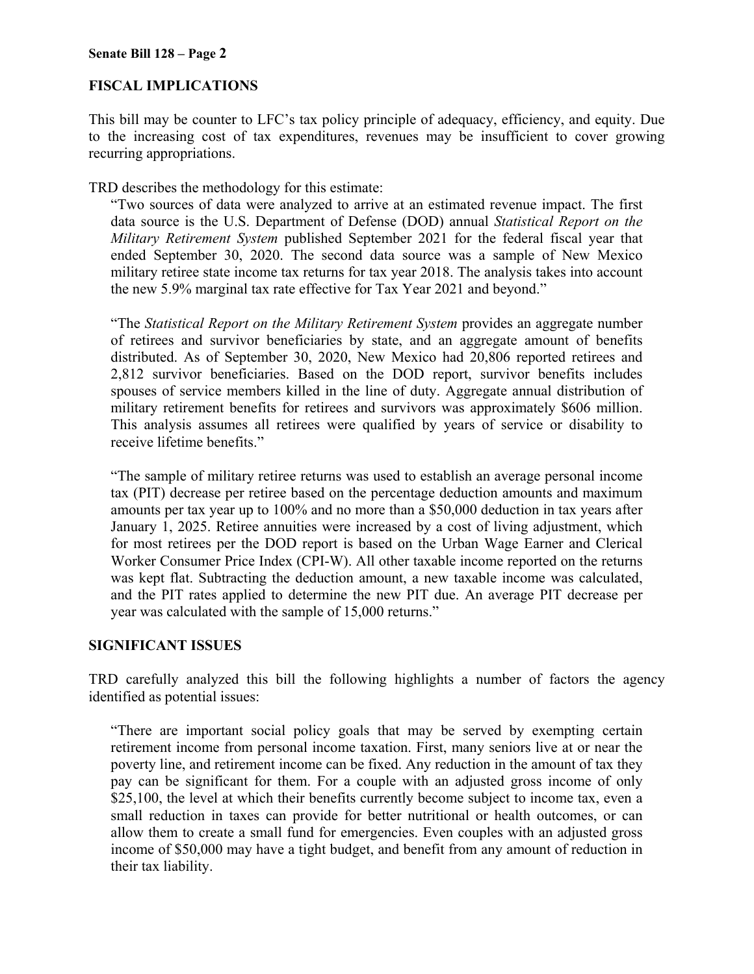# **FISCAL IMPLICATIONS**

This bill may be counter to LFC's tax policy principle of adequacy, efficiency, and equity. Due to the increasing cost of tax expenditures, revenues may be insufficient to cover growing recurring appropriations.

TRD describes the methodology for this estimate:

"Two sources of data were analyzed to arrive at an estimated revenue impact. The first data source is the U.S. Department of Defense (DOD) annual *Statistical Report on the Military Retirement System* published September 2021 for the federal fiscal year that ended September 30, 2020. The second data source was a sample of New Mexico military retiree state income tax returns for tax year 2018. The analysis takes into account the new 5.9% marginal tax rate effective for Tax Year 2021 and beyond."

"The *Statistical Report on the Military Retirement System* provides an aggregate number of retirees and survivor beneficiaries by state, and an aggregate amount of benefits distributed. As of September 30, 2020, New Mexico had 20,806 reported retirees and 2,812 survivor beneficiaries. Based on the DOD report, survivor benefits includes spouses of service members killed in the line of duty. Aggregate annual distribution of military retirement benefits for retirees and survivors was approximately \$606 million. This analysis assumes all retirees were qualified by years of service or disability to receive lifetime benefits."

"The sample of military retiree returns was used to establish an average personal income tax (PIT) decrease per retiree based on the percentage deduction amounts and maximum amounts per tax year up to 100% and no more than a \$50,000 deduction in tax years after January 1, 2025. Retiree annuities were increased by a cost of living adjustment, which for most retirees per the DOD report is based on the Urban Wage Earner and Clerical Worker Consumer Price Index (CPI-W). All other taxable income reported on the returns was kept flat. Subtracting the deduction amount, a new taxable income was calculated, and the PIT rates applied to determine the new PIT due. An average PIT decrease per year was calculated with the sample of 15,000 returns."

# **SIGNIFICANT ISSUES**

TRD carefully analyzed this bill the following highlights a number of factors the agency identified as potential issues:

"There are important social policy goals that may be served by exempting certain retirement income from personal income taxation. First, many seniors live at or near the poverty line, and retirement income can be fixed. Any reduction in the amount of tax they pay can be significant for them. For a couple with an adjusted gross income of only \$25,100, the level at which their benefits currently become subject to income tax, even a small reduction in taxes can provide for better nutritional or health outcomes, or can allow them to create a small fund for emergencies. Even couples with an adjusted gross income of \$50,000 may have a tight budget, and benefit from any amount of reduction in their tax liability.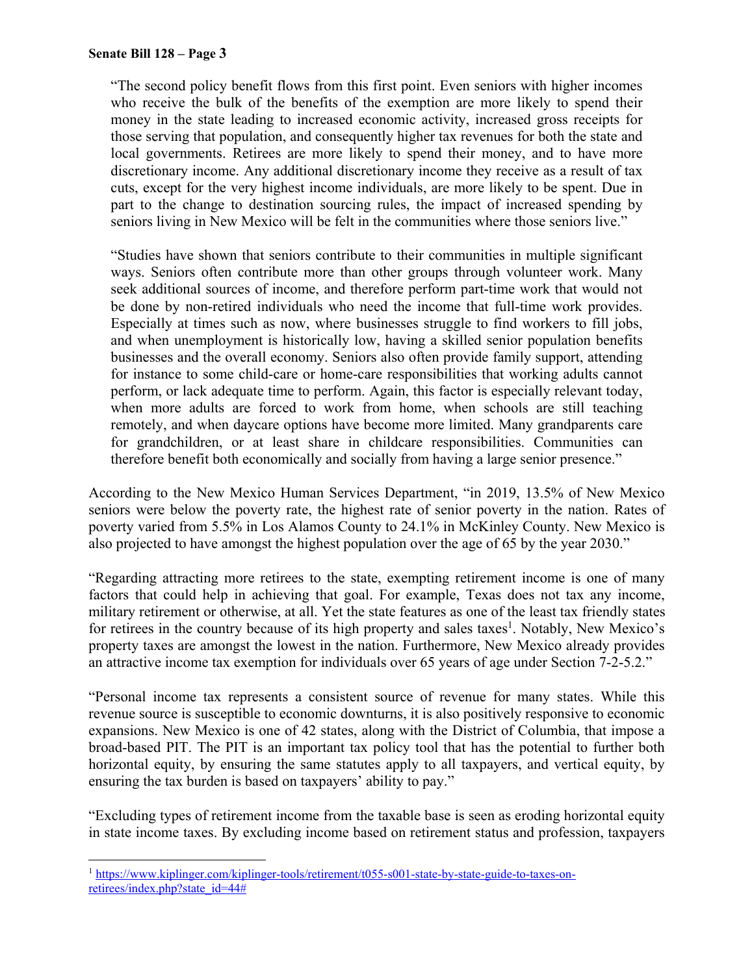"The second policy benefit flows from this first point. Even seniors with higher incomes who receive the bulk of the benefits of the exemption are more likely to spend their money in the state leading to increased economic activity, increased gross receipts for those serving that population, and consequently higher tax revenues for both the state and local governments. Retirees are more likely to spend their money, and to have more discretionary income. Any additional discretionary income they receive as a result of tax cuts, except for the very highest income individuals, are more likely to be spent. Due in part to the change to destination sourcing rules, the impact of increased spending by seniors living in New Mexico will be felt in the communities where those seniors live."

"Studies have shown that seniors contribute to their communities in multiple significant ways. Seniors often contribute more than other groups through volunteer work. Many seek additional sources of income, and therefore perform part-time work that would not be done by non-retired individuals who need the income that full-time work provides. Especially at times such as now, where businesses struggle to find workers to fill jobs, and when unemployment is historically low, having a skilled senior population benefits businesses and the overall economy. Seniors also often provide family support, attending for instance to some child-care or home-care responsibilities that working adults cannot perform, or lack adequate time to perform. Again, this factor is especially relevant today, when more adults are forced to work from home, when schools are still teaching remotely, and when daycare options have become more limited. Many grandparents care for grandchildren, or at least share in childcare responsibilities. Communities can therefore benefit both economically and socially from having a large senior presence."

According to the New Mexico Human Services Department, "in 2019, 13.5% of New Mexico seniors were below the poverty rate, the highest rate of senior poverty in the nation. Rates of poverty varied from 5.5% in Los Alamos County to 24.1% in McKinley County. New Mexico is also projected to have amongst the highest population over the age of 65 by the year 2030."

"Regarding attracting more retirees to the state, exempting retirement income is one of many factors that could help in achieving that goal. For example, Texas does not tax any income, military retirement or otherwise, at all. Yet the state features as one of the least tax friendly states for retirees in the country because of its high property and sales taxes<sup>1</sup>. Notably, New Mexico's property taxes are amongst the lowest in the nation. Furthermore, New Mexico already provides an attractive income tax exemption for individuals over 65 years of age under Section 7-2-5.2."

"Personal income tax represents a consistent source of revenue for many states. While this revenue source is susceptible to economic downturns, it is also positively responsive to economic expansions. New Mexico is one of 42 states, along with the District of Columbia, that impose a broad-based PIT. The PIT is an important tax policy tool that has the potential to further both horizontal equity, by ensuring the same statutes apply to all taxpayers, and vertical equity, by ensuring the tax burden is based on taxpayers' ability to pay."

"Excluding types of retirement income from the taxable base is seen as eroding horizontal equity in state income taxes. By excluding income based on retirement status and profession, taxpayers

<sup>1</sup> <sup>1</sup> https://www.kiplinger.com/kiplinger-tools/retirement/t055-s001-state-by-state-guide-to-taxes-onretirees/index.php?state\_id=44#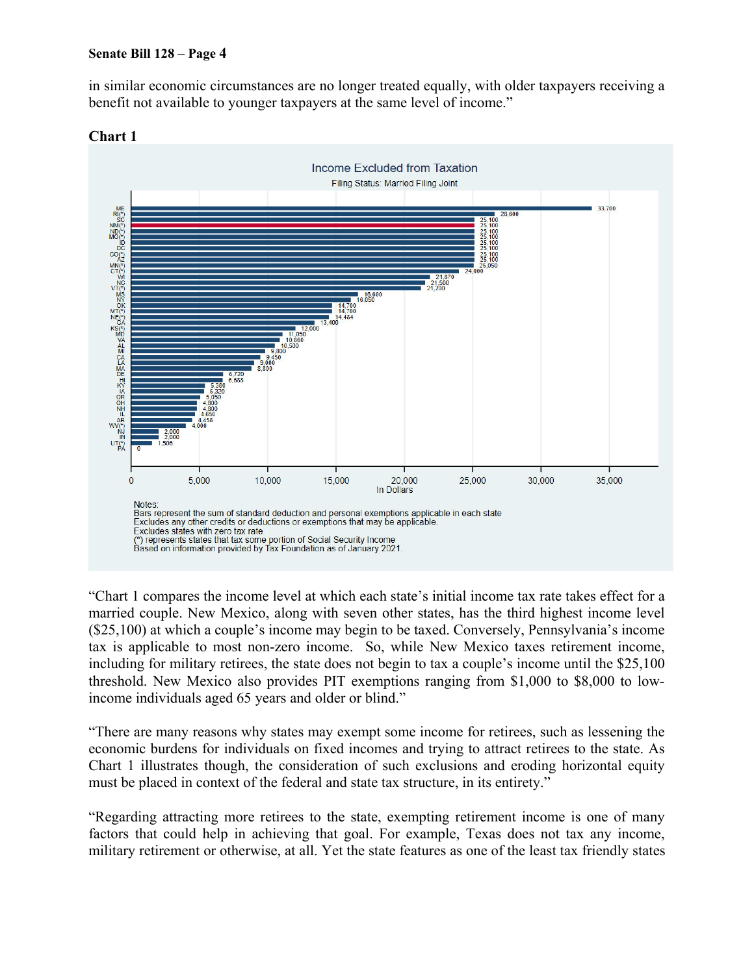in similar economic circumstances are no longer treated equally, with older taxpayers receiving a benefit not available to younger taxpayers at the same level of income."



#### **Chart 1**

"Chart 1 compares the income level at which each state's initial income tax rate takes effect for a married couple. New Mexico, along with seven other states, has the third highest income level (\$25,100) at which a couple's income may begin to be taxed. Conversely, Pennsylvania's income tax is applicable to most non-zero income. So, while New Mexico taxes retirement income, including for military retirees, the state does not begin to tax a couple's income until the \$25,100 threshold. New Mexico also provides PIT exemptions ranging from \$1,000 to \$8,000 to lowincome individuals aged 65 years and older or blind."

"There are many reasons why states may exempt some income for retirees, such as lessening the economic burdens for individuals on fixed incomes and trying to attract retirees to the state. As Chart 1 illustrates though, the consideration of such exclusions and eroding horizontal equity must be placed in context of the federal and state tax structure, in its entirety."

"Regarding attracting more retirees to the state, exempting retirement income is one of many factors that could help in achieving that goal. For example, Texas does not tax any income, military retirement or otherwise, at all. Yet the state features as one of the least tax friendly states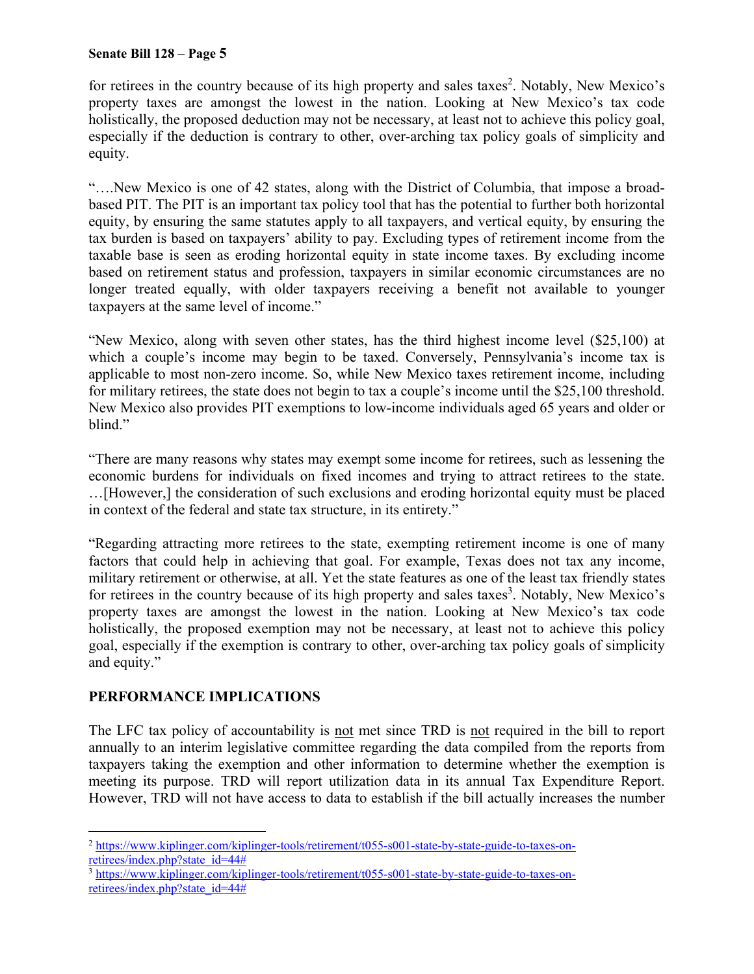for retirees in the country because of its high property and sales taxes<sup>2</sup>. Notably, New Mexico's property taxes are amongst the lowest in the nation. Looking at New Mexico's tax code holistically, the proposed deduction may not be necessary, at least not to achieve this policy goal, especially if the deduction is contrary to other, over-arching tax policy goals of simplicity and equity.

"….New Mexico is one of 42 states, along with the District of Columbia, that impose a broadbased PIT. The PIT is an important tax policy tool that has the potential to further both horizontal equity, by ensuring the same statutes apply to all taxpayers, and vertical equity, by ensuring the tax burden is based on taxpayers' ability to pay. Excluding types of retirement income from the taxable base is seen as eroding horizontal equity in state income taxes. By excluding income based on retirement status and profession, taxpayers in similar economic circumstances are no longer treated equally, with older taxpayers receiving a benefit not available to younger taxpayers at the same level of income."

"New Mexico, along with seven other states, has the third highest income level (\$25,100) at which a couple's income may begin to be taxed. Conversely, Pennsylvania's income tax is applicable to most non-zero income. So, while New Mexico taxes retirement income, including for military retirees, the state does not begin to tax a couple's income until the \$25,100 threshold. New Mexico also provides PIT exemptions to low-income individuals aged 65 years and older or blind."

"There are many reasons why states may exempt some income for retirees, such as lessening the economic burdens for individuals on fixed incomes and trying to attract retirees to the state. …[However,] the consideration of such exclusions and eroding horizontal equity must be placed in context of the federal and state tax structure, in its entirety."

"Regarding attracting more retirees to the state, exempting retirement income is one of many factors that could help in achieving that goal. For example, Texas does not tax any income, military retirement or otherwise, at all. Yet the state features as one of the least tax friendly states for retirees in the country because of its high property and sales taxes<sup>3</sup>. Notably, New Mexico's property taxes are amongst the lowest in the nation. Looking at New Mexico's tax code holistically, the proposed exemption may not be necessary, at least not to achieve this policy goal, especially if the exemption is contrary to other, over-arching tax policy goals of simplicity and equity."

# **PERFORMANCE IMPLICATIONS**

The LFC tax policy of accountability is not met since TRD is not required in the bill to report annually to an interim legislative committee regarding the data compiled from the reports from taxpayers taking the exemption and other information to determine whether the exemption is meeting its purpose. TRD will report utilization data in its annual Tax Expenditure Report. However, TRD will not have access to data to establish if the bill actually increases the number

 $\overline{a}$ <sup>2</sup> https://www.kiplinger.com/kiplinger-tools/retirement/t055-s001-state-by-state-guide-to-taxes-onretirees/index.php?state\_id=44#<br><sup>3</sup> https://www.kiplinger.com/kiplinger-tools/retirement/t055-s001-state-by-state-guide-to-taxes-on-

retirees/index.php?state\_id=44#